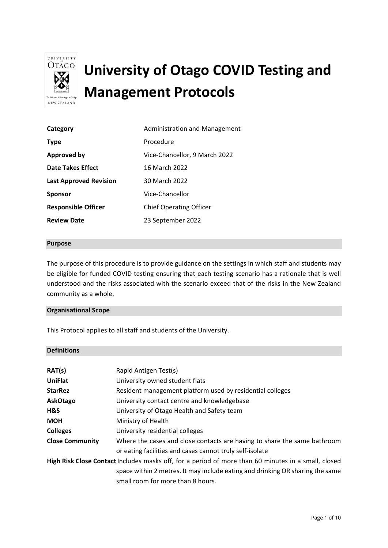

# **University of Otago COVID Testing and Management Protocols**

| Category                      | <b>Administration and Management</b> |
|-------------------------------|--------------------------------------|
| <b>Type</b>                   | Procedure                            |
| <b>Approved by</b>            | Vice-Chancellor, 9 March 2022        |
| <b>Date Takes Effect</b>      | 16 March 2022                        |
| <b>Last Approved Revision</b> | 30 March 2022                        |
| <b>Sponsor</b>                | Vice-Chancellor                      |
| <b>Responsible Officer</b>    | <b>Chief Operating Officer</b>       |
| <b>Review Date</b>            | 23 September 2022                    |

#### **Purpose**

The purpose of this procedure is to provide guidance on the settings in which staff and students may be eligible for funded COVID testing ensuring that each testing scenario has a rationale that is well understood and the risks associated with the scenario exceed that of the risks in the New Zealand community as a whole.

#### **Organisational Scope**

This Protocol applies to all staff and students of the University.

#### **Definitions**

| RAT(s)                                                                                              | Rapid Antigen Test(s)                                                         |
|-----------------------------------------------------------------------------------------------------|-------------------------------------------------------------------------------|
| <b>UniFlat</b>                                                                                      | University owned student flats                                                |
| <b>StarRez</b>                                                                                      | Resident management platform used by residential colleges                     |
| AskOtago                                                                                            | University contact centre and knowledgebase                                   |
| H&S                                                                                                 | University of Otago Health and Safety team                                    |
| <b>MOH</b>                                                                                          | Ministry of Health                                                            |
| <b>Colleges</b>                                                                                     | University residential colleges                                               |
| <b>Close Community</b>                                                                              | Where the cases and close contacts are having to share the same bathroom      |
|                                                                                                     | or eating facilities and cases cannot truly self-isolate                      |
| High Risk Close Contact Includes masks off, for a period of more than 60 minutes in a small, closed |                                                                               |
|                                                                                                     | space within 2 metres. It may include eating and drinking OR sharing the same |
|                                                                                                     | small room for more than 8 hours.                                             |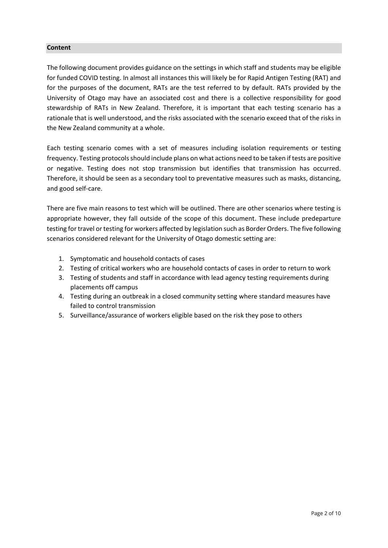#### **Content**

The following document provides guidance on the settings in which staff and students may be eligible for funded COVID testing. In almost all instances this will likely be for Rapid Antigen Testing (RAT) and for the purposes of the document, RATs are the test referred to by default. RATs provided by the University of Otago may have an associated cost and there is a collective responsibility for good stewardship of RATs in New Zealand. Therefore, it is important that each testing scenario has a rationale that is well understood, and the risks associated with the scenario exceed that of the risks in the New Zealand community at a whole.

Each testing scenario comes with a set of measures including isolation requirements or testing frequency. Testing protocols should include plans on what actions need to be taken if tests are positive or negative. Testing does not stop transmission but identifies that transmission has occurred. Therefore, it should be seen as a secondary tool to preventative measures such as masks, distancing, and good self-care.

There are five main reasons to test which will be outlined. There are other scenarios where testing is appropriate however, they fall outside of the scope of this document. These include predeparture testing for travel or testing for workers affected by legislation such as Border Orders. The five following scenarios considered relevant for the University of Otago domestic setting are:

- 1. Symptomatic and household contacts of cases
- 2. Testing of critical workers who are household contacts of cases in order to return to work
- 3. Testing of students and staff in accordance with lead agency testing requirements during placements off campus
- 4. Testing during an outbreak in a closed community setting where standard measures have failed to control transmission
- 5. Surveillance/assurance of workers eligible based on the risk they pose to others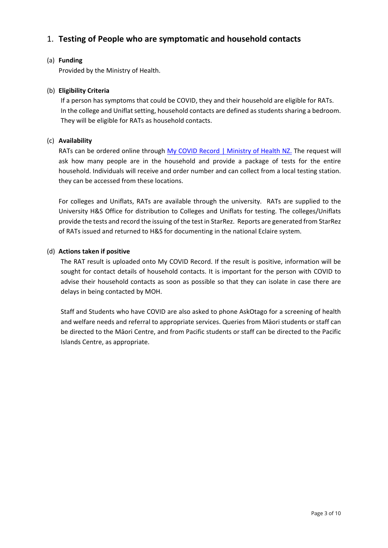## 1. **Testing of People who are symptomatic and household contacts**

#### (a) **Funding**

Provided by the Ministry of Health.

#### (b) **Eligibility Criteria**

If a person has symptoms that could be COVID, they and their household are eligible for RATs. In the college and Uniflat setting, household contacts are defined as students sharing a bedroom. They will be eligible for RATs as household contacts.

#### (c) **Availability**

RATs can be ordered online through My COVID [Record | Ministry of Health NZ.](https://mycovidrecord.health.nz/) The request will ask how many people are in the household and provide a package of tests for the entire household. Individuals will receive and order number and can collect from a local testing station. they can be accessed from these locations.

For colleges and Uniflats, RATs are available through the university. RATs are supplied to the University H&S Office for distribution to Colleges and Uniflats for testing. The colleges/Uniflats provide the tests and record the issuing of the test in StarRez. Reports are generated from StarRez of RATs issued and returned to H&S for documenting in the national Eclaire system.

#### (d) **Actions taken if positive**

The RAT result is uploaded onto My COVID Record. If the result is positive, information will be sought for contact details of household contacts. It is important for the person with COVID to advise their household contacts as soon as possible so that they can isolate in case there are delays in being contacted by MOH.

Staff and Students who have COVID are also asked to phone AskOtago for a screening of health and welfare needs and referral to appropriate services. Queries from Māori students or staff can be directed to the Māori Centre, and from Pacific students or staff can be directed to the Pacific Islands Centre, as appropriate.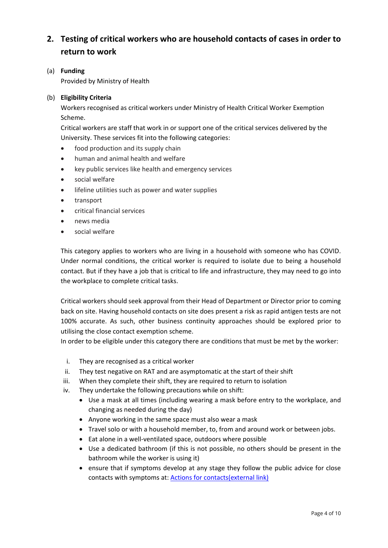## **2. Testing of critical workers who are household contacts of cases in order to return to work**

(a) **Funding** Provided by Ministry of Health

#### (b) **Eligibility Criteria**

Workers recognised as critical workers under Ministry of Health Critical Worker Exemption Scheme.

Critical workers are staff that work in or support one of the critical services delivered by the University. These services fit into the following categories:

- food production and its supply chain
- human and animal health and welfare
- key public services like health and emergency services
- social welfare
- lifeline utilities such as power and water supplies
- transport
- critical financial services
- news media
- social welfare

This category applies to workers who are living in a household with someone who has COVID. Under normal conditions, the critical worker is required to isolate due to being a household contact. But if they have a job that is critical to life and infrastructure, they may need to go into the workplace to complete critical tasks.

Critical workers should seek approval from their Head of Department or Director prior to coming back on site. Having household contacts on site does present a risk as rapid antigen tests are not 100% accurate. As such, other business continuity approaches should be explored prior to utilising the close contact exemption scheme.

In order to be eligible under this category there are conditions that must be met by the worker:

- i. They are recognised as a critical worker
- ii. They test negative on RAT and are asymptomatic at the start of their shift
- iii. When they complete their shift, they are required to return to isolation
- iv. They undertake the following precautions while on shift:
	- Use a mask at all times (including wearing a mask before entry to the workplace, and changing as needed during the day)
	- Anyone working in the same space must also wear a mask
	- Travel solo or with a household member, to, from and around work or between jobs.
	- Eat alone in a well-ventilated space, outdoors where possible
	- Use a dedicated bathroom (if this is not possible, no others should be present in the bathroom while the worker is using it)
	- ensure that if symptoms develop at any stage they follow the public advice for close contacts with symptoms at: [Actions for contacts\(external link\)](https://www.health.govt.nz/covid-19-novel-coronavirus/covid-19-health-advice-public/covid-19-information-close-contacts)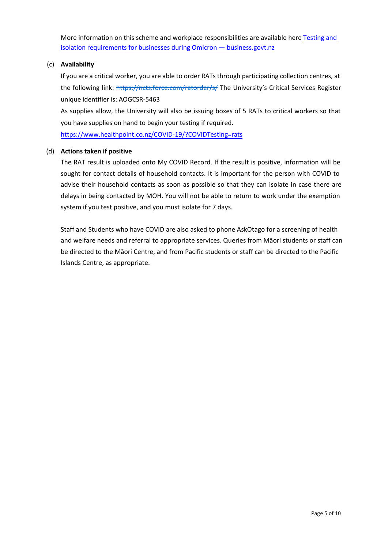More information on this scheme and workplace responsibilities are available here Testing and [isolation requirements for businesses during Omicron — business.govt.nz](https://www.business.govt.nz/covid-19/close-contact-exemption-scheme#e-29078)

#### (c) **Availability**

If you are a critical worker, you are able to order RATs through participating collection centres, at the following link: <https://ncts.force.com/ratorder/s/> The University's Critical Services Register unique identifier is: AOGCSR-5463

As supplies allow, the University will also be issuing boxes of 5 RATs to critical workers so that you have supplies on hand to begin your testing if required.

[https://www.healthpoint.co.nz/COVID-19/?COVIDTesting=rats](https://www.healthpoint.co.nz/covid-19/?covidTesting=rats)

#### (d) **Actions taken if positive**

The RAT result is uploaded onto My COVID Record. If the result is positive, information will be sought for contact details of household contacts. It is important for the person with COVID to advise their household contacts as soon as possible so that they can isolate in case there are delays in being contacted by MOH. You will not be able to return to work under the exemption system if you test positive, and you must isolate for 7 days.

Staff and Students who have COVID are also asked to phone AskOtago for a screening of health and welfare needs and referral to appropriate services. Queries from Māori students or staff can be directed to the Māori Centre, and from Pacific students or staff can be directed to the Pacific Islands Centre, as appropriate.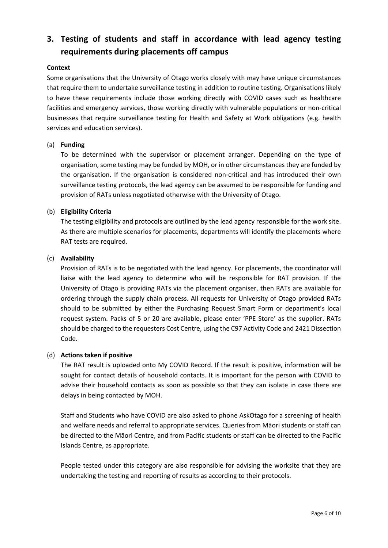## **3. Testing of students and staff in accordance with lead agency testing requirements during placements off campus**

#### **Context**

Some organisations that the University of Otago works closely with may have unique circumstances that require them to undertake surveillance testing in addition to routine testing. Organisations likely to have these requirements include those working directly with COVID cases such as healthcare facilities and emergency services, those working directly with vulnerable populations or non-critical businesses that require surveillance testing for Health and Safety at Work obligations (e.g. health services and education services).

#### (a) **Funding**

To be determined with the supervisor or placement arranger. Depending on the type of organisation, some testing may be funded by MOH, or in other circumstances they are funded by the organisation. If the organisation is considered non-critical and has introduced their own surveillance testing protocols, the lead agency can be assumed to be responsible for funding and provision of RATs unless negotiated otherwise with the University of Otago.

#### (b) **Eligibility Criteria**

The testing eligibility and protocols are outlined by the lead agency responsible for the work site. As there are multiple scenarios for placements, departments will identify the placements where RAT tests are required.

#### (c) **Availability**

Provision of RATs is to be negotiated with the lead agency. For placements, the coordinator will liaise with the lead agency to determine who will be responsible for RAT provision. If the University of Otago is providing RATs via the placement organiser, then RATs are available for ordering through the supply chain process. All requests for University of Otago provided RATs should to be submitted by either the Purchasing Request [Smart Form](https://otago.custhelp.com/app/forms/finance) or department's local request system. Packs of 5 or 20 are available, please enter 'PPE Store' as the supplier. RATs should be charged to the requesters Cost Centre, using the C97 Activity Code and 2421 Dissection Code.

#### (d) **Actions taken if positive**

The RAT result is uploaded onto My COVID Record. If the result is positive, information will be sought for contact details of household contacts. It is important for the person with COVID to advise their household contacts as soon as possible so that they can isolate in case there are delays in being contacted by MOH.

Staff and Students who have COVID are also asked to phone AskOtago for a screening of health and welfare needs and referral to appropriate services. Queries from Māori students or staff can be directed to the Māori Centre, and from Pacific students or staff can be directed to the Pacific Islands Centre, as appropriate.

People tested under this category are also responsible for advising the worksite that they are undertaking the testing and reporting of results as according to their protocols.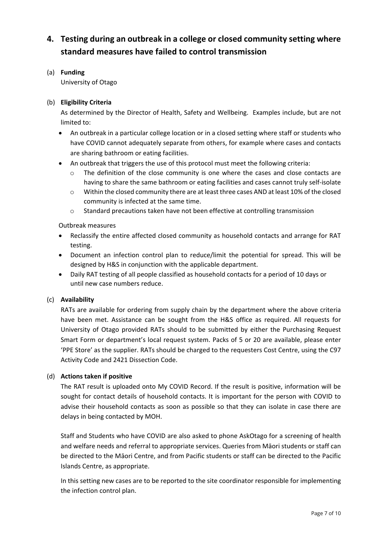## **4. Testing during an outbreak in a college or closed community setting where standard measures have failed to control transmission**

(a) **Funding**

University of Otago

#### (b) **Eligibility Criteria**

As determined by the Director of Health, Safety and Wellbeing. Examples include, but are not limited to:

- An outbreak in a particular college location or in a closed setting where staff or students who have COVID cannot adequately separate from others, for example where cases and contacts are sharing bathroom or eating facilities.
- An outbreak that triggers the use of this protocol must meet the following criteria:
	- The definition of the close community is one where the cases and close contacts are having to share the same bathroom or eating facilities and cases cannot truly self-isolate
	- $\circ$  Within the closed community there are at least three cases AND at least 10% of the closed community is infected at the same time.
	- o Standard precautions taken have not been effective at controlling transmission

Outbreak measures

- Reclassify the entire affected closed community as household contacts and arrange for RAT testing.
- Document an infection control plan to reduce/limit the potential for spread. This will be designed by H&S in conjunction with the applicable department.
- Daily RAT testing of all people classified as household contacts for a period of 10 days or until new case numbers reduce.

#### (c) **Availability**

RATs are available for ordering from supply chain by the department where the above criteria have been met. Assistance can be sought from the H&S office as required. All requests for University of Otago provided RATs should to be submitted by either the Purchasing Request [Smart Form](https://otago.custhelp.com/app/forms/finance) or department's local request system. Packs of 5 or 20 are available, please enter 'PPE Store' as the supplier. RATs should be charged to the requesters Cost Centre, using the C97 Activity Code and 2421 Dissection Code.

#### (d) **Actions taken if positive**

The RAT result is uploaded onto My COVID Record. If the result is positive, information will be sought for contact details of household contacts. It is important for the person with COVID to advise their household contacts as soon as possible so that they can isolate in case there are delays in being contacted by MOH.

Staff and Students who have COVID are also asked to phone AskOtago for a screening of health and welfare needs and referral to appropriate services. Queries from Māori students or staff can be directed to the Māori Centre, and from Pacific students or staff can be directed to the Pacific Islands Centre, as appropriate.

In this setting new cases are to be reported to the site coordinator responsible for implementing the infection control plan.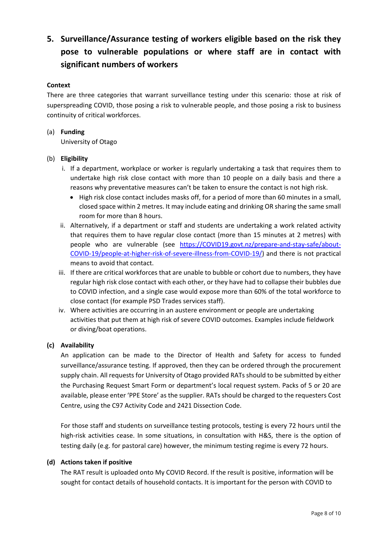# **5. Surveillance/Assurance testing of workers eligible based on the risk they pose to vulnerable populations or where staff are in contact with significant numbers of workers**

#### **Context**

There are three categories that warrant surveillance testing under this scenario: those at risk of superspreading COVID, those posing a risk to vulnerable people, and those posing a risk to business continuity of critical workforces.

#### (a) **Funding**

University of Otago

#### (b) **Eligibility**

- i. If a department, workplace or worker is regularly undertaking a task that requires them to undertake high risk close contact with more than 10 people on a daily basis and there a reasons why preventative measures can't be taken to ensure the contact is not high risk.
	- High risk close contact includes masks off, for a period of more than 60 minutes in a small, closed space within 2 metres. It may include eating and drinking OR sharing the same small room for more than 8 hours.
- ii. Alternatively, if a department or staff and students are undertaking a work related activity that requires them to have regular close contact (more than 15 minutes at 2 metres) with people who are vulnerable (see [https://COVID19.govt.nz/prepare-and-stay-safe/about-](https://covid19.govt.nz/prepare-and-stay-safe/about-covid-19/people-at-higher-risk-of-severe-illness-from-covid-19/)[COVID-19/people-at-higher-risk-of-severe-illness-from-COVID-19/\)](https://covid19.govt.nz/prepare-and-stay-safe/about-covid-19/people-at-higher-risk-of-severe-illness-from-covid-19/) and there is not practical means to avoid that contact.
- iii. If there are critical workforces that are unable to bubble or cohort due to numbers, they have regular high risk close contact with each other, or they have had to collapse their bubbles due to COVID infection, and a single case would expose more than 60% of the total workforce to close contact (for example PSD Trades services staff).
- iv. Where activities are occurring in an austere environment or people are undertaking activities that put them at high risk of severe COVID outcomes. Examples include fieldwork or diving/boat operations.

#### **(c) Availability**

An application can be made to the Director of Health and Safety for access to funded surveillance/assurance testing. If approved, then they can be ordered through the procurement supply chain. All requests for University of Otago provided RATs should to be submitted by either the Purchasing Request [Smart Form](https://otago.custhelp.com/app/forms/finance) or department's local request system. Packs of 5 or 20 are available, please enter 'PPE Store' as the supplier. RATs should be charged to the requesters Cost Centre, using the C97 Activity Code and 2421 Dissection Code.

For those staff and students on surveillance testing protocols, testing is every 72 hours until the high-risk activities cease. In some situations, in consultation with H&S, there is the option of testing daily (e.g. for pastoral care) however, the minimum testing regime is every 72 hours.

#### **(d) Actions taken if positive**

The RAT result is uploaded onto My COVID Record. If the result is positive, information will be sought for contact details of household contacts. It is important for the person with COVID to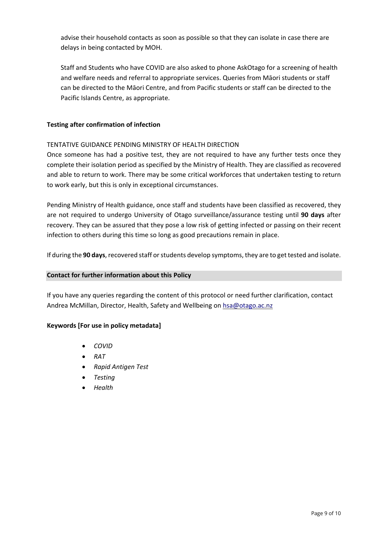advise their household contacts as soon as possible so that they can isolate in case there are delays in being contacted by MOH.

Staff and Students who have COVID are also asked to phone AskOtago for a screening of health and welfare needs and referral to appropriate services. Queries from Māori students or staff can be directed to the Māori Centre, and from Pacific students or staff can be directed to the Pacific Islands Centre, as appropriate.

#### **Testing after confirmation of infection**

#### TENTATIVE GUIDANCE PENDING MINISTRY OF HEALTH DIRECTION

Once someone has had a positive test, they are not required to have any further tests once they complete their isolation period as specified by the Ministry of Health. They are classified as recovered and able to return to work. There may be some critical workforces that undertaken testing to return to work early, but this is only in exceptional circumstances.

Pending Ministry of Health guidance, once staff and students have been classified as recovered, they are not required to undergo University of Otago surveillance/assurance testing until **90 days** after recovery. They can be assured that they pose a low risk of getting infected or passing on their recent infection to others during this time so long as good precautions remain in place.

If during the **90 days**, recovered staff or students develop symptoms, they are to get tested and isolate.

#### **Contact for further information about this Policy**

If you have any queries regarding the content of this protocol or need further clarification, contact Andrea McMillan, Director, Health, Safety and Wellbeing on [hsa@otago.ac.nz](mailto:hsa@otago.ac.nz)

#### **Keywords [For use in policy metadata]**

- *COVID*
- *RAT*
- *Rapid Antigen Test*
- *Testing*
- *Health*